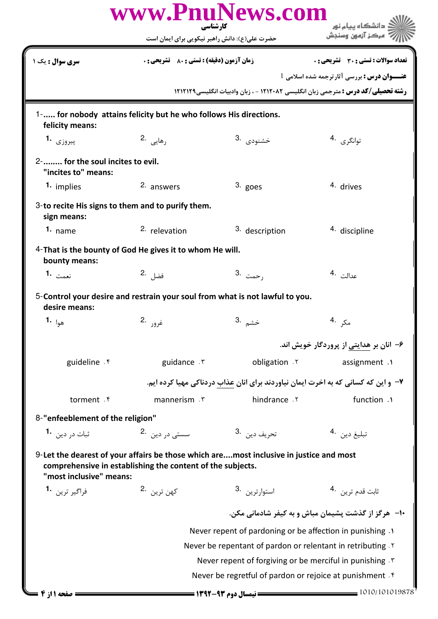|                                                                     | www.PnuNews.com<br>کارشناسی                                                                                                                          |                                                                                   | دانشگاه پیام نور                                                                        |  |
|---------------------------------------------------------------------|------------------------------------------------------------------------------------------------------------------------------------------------------|-----------------------------------------------------------------------------------|-----------------------------------------------------------------------------------------|--|
|                                                                     | حضرت علی(ع): دانش راهبر نیکویی برای ایمان است                                                                                                        |                                                                                   | مركز آزمون وسنجش                                                                        |  |
| <b>سری سوال :</b> یک ۱                                              | <b>زمان آزمون (دقیقه) : تستی : 80 ٪ تشریحی : 0</b>                                                                                                   |                                                                                   | <b>تعداد سوالات : تستی : 30 ٪ تشریحی : 0</b>                                            |  |
|                                                                     |                                                                                                                                                      |                                                                                   | <b>عنـــوان درس :</b> بررسي آثارترجمه شده اسلامي 1                                      |  |
|                                                                     |                                                                                                                                                      |                                                                                   | <b>رشته تحصیلی/کد درس :</b> مترجمی زبان انگلیسی ۱۲۱۲۰۸۲ - ، زبان وادبیات انگلیسی1۲۱۲۱۲۹ |  |
| felicity means:                                                     | 1- for nobody attains felicity but he who follows His directions.                                                                                    |                                                                                   |                                                                                         |  |
| پیروزی <b>1.</b>                                                    | رهاي <sub>ي</sub> .2                                                                                                                                 | خشنودى .3                                                                         | توانگرى <sup>.4</sup>                                                                   |  |
| 2- for the soul incites to evil.<br>"incites to" means:             |                                                                                                                                                      |                                                                                   |                                                                                         |  |
| 1. implies                                                          | 2. answers                                                                                                                                           | $3.$ goes                                                                         | 4. drives                                                                               |  |
| 3-to recite His signs to them and to purify them.<br>sign means:    |                                                                                                                                                      |                                                                                   |                                                                                         |  |
| $1.$ name                                                           | <sup>2.</sup> relevation                                                                                                                             | <sup>3.</sup> description                                                         | 4. discipline                                                                           |  |
| bounty means:                                                       | 4-That is the bounty of God He gives it to whom He will.                                                                                             |                                                                                   |                                                                                         |  |
| نعمت 1.                                                             | فضل 2.                                                                                                                                               | 3. رحمت                                                                           | عدالت .4                                                                                |  |
| desire means:                                                       | 5-Control your desire and restrain your soul from what is not lawful to you.                                                                         |                                                                                   |                                                                                         |  |
| هوا <b>-1</b>                                                       | غړور .2                                                                                                                                              | خشم .3                                                                            | مکړ .4                                                                                  |  |
|                                                                     |                                                                                                                                                      |                                                                                   | ۶– انان بر هدایتی از پروردگار خویش اند.                                                 |  |
| guideline . f                                                       | guidance . ٣                                                                                                                                         | obligation .Y                                                                     | assignment .1                                                                           |  |
|                                                                     |                                                                                                                                                      | ۷- و این که کسانی که به اخرت ایمان نیاوردند برای انان عذاب دردناکی مهیا کرده ایم. |                                                                                         |  |
| torment . f                                                         | mannerism . ٣                                                                                                                                        | hindrance . ٢                                                                     | function .1                                                                             |  |
| 8-"enfeeblement of the religion"                                    |                                                                                                                                                      |                                                                                   |                                                                                         |  |
| ثبات د <sub>ر</sub> دين   • <b>1</b>                                | سستے در دین ۔2                                                                                                                                       | تحريف دين <sup>.3</sup>                                                           | تبليغ دين 4.                                                                            |  |
| "most inclusive" means:                                             | 9-Let the dearest of your affairs be those which aremost inclusive in justice and most<br>comprehensive in establishing the content of the subjects. |                                                                                   |                                                                                         |  |
| فراگير ترين <b>1</b>                                                | كهن ترين 2.                                                                                                                                          | 3. استوار ترين                                                                    | ثابت قدم ترين 4.                                                                        |  |
|                                                                     |                                                                                                                                                      |                                                                                   | ۱۰– هرگز از گذشت پشیمان مباش و به کیفر شادمانی مکن.                                     |  |
|                                                                     | Never repent of pardoning or be affection in punishing .                                                                                             |                                                                                   |                                                                                         |  |
|                                                                     | Never be repentant of pardon or relentant in retributing. Y                                                                                          |                                                                                   |                                                                                         |  |
| Never repent of forgiving or be merciful in punishing $\mathcal{F}$ |                                                                                                                                                      |                                                                                   |                                                                                         |  |
|                                                                     |                                                                                                                                                      | Never be regretful of pardon or rejoice at punishment . f                         |                                                                                         |  |
| صفحه 11: 4                                                          |                                                                                                                                                      | == نیمسال دوم ۹۳-۱۳۹۲ =                                                           | = 1010/101019878                                                                        |  |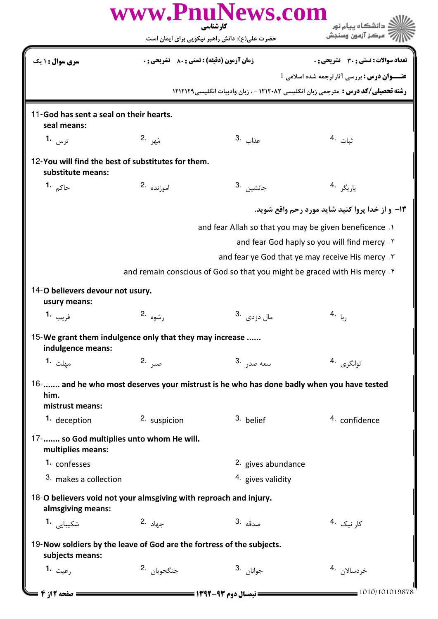| nuNews.com<br>WWW.FI<br>دانشگاه پیام نور<br>کارشناسی                                     |                                             |                                               |                                                                                          |  |
|------------------------------------------------------------------------------------------|---------------------------------------------|-----------------------------------------------|------------------------------------------------------------------------------------------|--|
|                                                                                          |                                             | حضرت علی(ع): دانش راهبر نیکویی برای ایمان است | مركز آزمون وسندش                                                                         |  |
| سری سوال : ۱ یک                                                                          | زمان آزمون (دقيقه) : تستى : 80 ٪ تشريحي : 0 |                                               | <b>تعداد سوالات : تستی : 30 ٪ تشریحی : 0</b>                                             |  |
|                                                                                          |                                             |                                               | <b>عنـــوان درس :</b> بررسی آثارترجمه شده اسلامی <sup>1</sup>                            |  |
|                                                                                          |                                             |                                               | <b>رشته تحصیلی/کد درس :</b> مترجمی زبان انگلیسی ۱۲۱۲۰۸۲ - ، زبان وادبیات انگلیسی۱۲۱۲۱۲۹  |  |
| 11-God has sent a seal on their hearts.<br>seal means:                                   |                                             |                                               |                                                                                          |  |
| ترس <b>1.</b>                                                                            | مٌهر .2                                     | عذاب .3                                       | ثبات <sup>.4</sup>                                                                       |  |
| 12-You will find the best of substitutes for them.<br>substitute means:                  |                                             |                                               |                                                                                          |  |
| حاك <sub>م</sub> .1                                                                      | اموزنده .2                                  | جانشين <sup>.3</sup>                          | ياريگر <sup>.4</sup>                                                                     |  |
|                                                                                          |                                             |                                               | <b>۱۳</b> - و از خدا پروا کنید شاید مورد رحم واقع شوید.                                  |  |
|                                                                                          |                                             |                                               | and fear Allah so that you may be given beneficence .                                    |  |
|                                                                                          |                                             |                                               | and fear God haply so you will find mercy . Y                                            |  |
|                                                                                          |                                             |                                               | and fear ye God that ye may receive His mercy . "                                        |  |
|                                                                                          |                                             |                                               | and remain conscious of God so that you might be graced with His mercy.                  |  |
| 14-O believers devour not usury.<br>usury means:                                         |                                             |                                               |                                                                                          |  |
| فريب 1.                                                                                  | رشوه .2                                     | مال دزدی۔ <sup>3</sup>                        | ربا <sup>.4</sup>                                                                        |  |
| 15-We grant them indulgence only that they may increase<br>indulgence means:             |                                             |                                               |                                                                                          |  |
| مهلت <b>1.</b>                                                                           | صبر 2.                                      | سعه صد <sub>ر</sub> .3                        | توانگرى <sup>.4</sup>                                                                    |  |
| him.<br>mistrust means:                                                                  |                                             |                                               | 16- and he who most deserves your mistrust is he who has done badly when you have tested |  |
| 1. deception                                                                             | 2. suspicion                                | 3. belief                                     | 4. confidence                                                                            |  |
| 17- so God multiplies unto whom He will.<br>multiplies means:                            |                                             |                                               |                                                                                          |  |
| 1. confesses                                                                             |                                             | 2. gives abundance                            |                                                                                          |  |
| <sup>3.</sup> makes a collection                                                         |                                             | 4. gives validity                             |                                                                                          |  |
| 18-O believers void not your almsgiving with reproach and injury.<br>almsgiving means:   |                                             |                                               |                                                                                          |  |
| شكيبايي 1.                                                                               | ج <sub>هاد</sub> .2                         | صدقه .3                                       | کا <sub>ر</sub> نیک 4.                                                                   |  |
| 19-Now soldiers by the leave of God are the fortress of the subjects.<br>subjects means: |                                             |                                               |                                                                                          |  |
| 1. <sub>رعيت</sub>                                                                       | جنگجويا <sub>ن</sub> .2                     | جوانان <sup>.3</sup>                          | خردسالان 4.                                                                              |  |
| <b>: صفحه 2 از 4 =</b>                                                                   |                                             |                                               | $= 1010/101019878$                                                                       |  |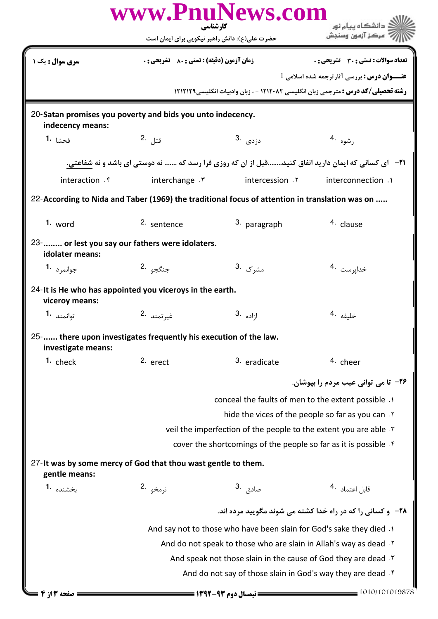|                                                                                                |                                                                      | www.PnuNews.com<br>کارشناسی                                      | <mark>ڪ دانشڪاه پيام نور</mark>                                                                           |  |  |
|------------------------------------------------------------------------------------------------|----------------------------------------------------------------------|------------------------------------------------------------------|-----------------------------------------------------------------------------------------------------------|--|--|
|                                                                                                | حضرت علی(ع): دانش راهبر نیکویی برای ایمان است                        |                                                                  | مركز آزمون وسنجش                                                                                          |  |  |
| سری سوال : یک ۱                                                                                | <b>زمان آزمون (دقیقه) : تستی : 80 ٪ تشریحی : 0</b>                   |                                                                  | تعداد سوالات : تستى : 30 قشريحى : 0                                                                       |  |  |
|                                                                                                |                                                                      |                                                                  | <b>عنـــوان درس :</b> بررسي آثارترجمه شده اسلامي <sup>1</sup>                                             |  |  |
|                                                                                                |                                                                      |                                                                  | <b>رشته تحصیلی/کد درس :</b> مترجمی زبان انگلیسی ۱۲۱۲۰۸۲ - ، زبان وادبیات انگلیسی1۲۱۲۱۲۹                   |  |  |
| 20-Satan promises you poverty and bids you unto indecency.<br>indecency means:                 |                                                                      |                                                                  |                                                                                                           |  |  |
| فحشا <b>1.</b>                                                                                 | قتل .2                                                               | دزدی .3                                                          | رشوه .4                                                                                                   |  |  |
|                                                                                                |                                                                      |                                                                  | <b>۲۱</b> - ای کسانی که ایمان دارید انفاق کنیدقبل از ان که روزی فرا رسد که  نه دوستی ای باشد و نه شفاعتی. |  |  |
| interaction f                                                                                  | interchange . ٣                                                      | intercession Y                                                   | interconnection .1                                                                                        |  |  |
| 22-According to Nida and Taber (1969) the traditional focus of attention in translation was on |                                                                      |                                                                  |                                                                                                           |  |  |
| $1.$ word                                                                                      | 2. sentence                                                          | 3. paragraph                                                     | 4. clause                                                                                                 |  |  |
| idolater means:                                                                                | 23- or lest you say our fathers were idolaters.                      |                                                                  |                                                                                                           |  |  |
| جوانمرد 1.                                                                                     | جنگجو <sup>2</sup> ۰                                                 | مشرک .3                                                          | خداپرست <sup>.4</sup>                                                                                     |  |  |
| viceroy means:                                                                                 | 24-It is He who has appointed you viceroys in the earth.             |                                                                  |                                                                                                           |  |  |
| توانمند 1.                                                                                     | غيرتمند .2                                                           | $3.$ ازاده                                                       | خليفه <sup>.4</sup>                                                                                       |  |  |
| investigate means:                                                                             | 25- there upon investigates frequently his execution of the law.     |                                                                  |                                                                                                           |  |  |
| 1. check                                                                                       | 2. erect                                                             | 3. eradicate                                                     | <sup>4.</sup> cheer                                                                                       |  |  |
|                                                                                                |                                                                      |                                                                  | ۲۶– تا مي تواني عيب مردم را بيوشان.                                                                       |  |  |
|                                                                                                | conceal the faults of men to the extent possible .1                  |                                                                  |                                                                                                           |  |  |
|                                                                                                |                                                                      |                                                                  | hide the vices of the people so far as you can.                                                           |  |  |
|                                                                                                | veil the imperfection of the people to the extent you are able.      |                                                                  |                                                                                                           |  |  |
|                                                                                                |                                                                      | cover the shortcomings of the people so far as it is possible. f |                                                                                                           |  |  |
| gentle means:                                                                                  | 27-It was by some mercy of God that thou wast gentle to them.        |                                                                  |                                                                                                           |  |  |
| بخشنده 1.                                                                                      | نرمخو .2                                                             | صادق <sup>.3</sup>                                               | قابل اعتماد 4.                                                                                            |  |  |
|                                                                                                |                                                                      |                                                                  | <b>۲۸</b> - و کسانی را که در راه خدا کشته می شوند مگویید مرده اند.                                        |  |  |
|                                                                                                | And say not to those who have been slain for God's sake they died .1 |                                                                  |                                                                                                           |  |  |
| And do not speak to those who are slain in Allah's way as dead. Y                              |                                                                      |                                                                  |                                                                                                           |  |  |
|                                                                                                | And speak not those slain in the cause of God they are dead. T       |                                                                  |                                                                                                           |  |  |
| And do not say of those slain in God's way they are dead. f                                    |                                                                      |                                                                  |                                                                                                           |  |  |
| صفحه ۱۳ از ۴                                                                                   |                                                                      |                                                                  | $=$ 1010/101019878                                                                                        |  |  |